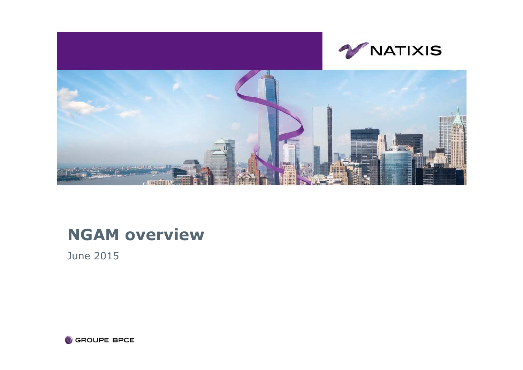

# **NGAM overview**

June 2015

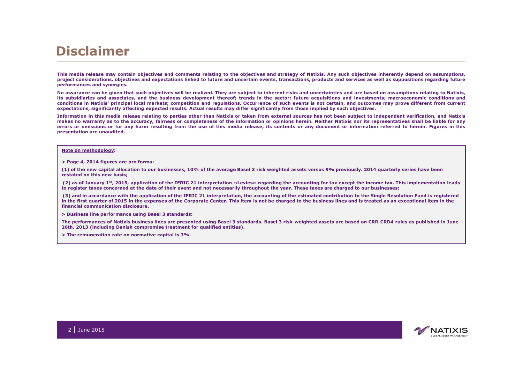# **Disclaimer**

This media release may contain objectives and comments relating to the objectives and strategy of Natixis. Any such objectives inherently depend on assumptions, project considerations, objectives and expectations linked to future and uncertain events, transactions, products and services as well as suppositions regarding future **performances and synergies.**

No assurance can be given that such objectives will be realized. They are subject to inherent risks and uncertainties and are based on assumptions relating to Natixis. its subsidiaries and associates, and the business development thereof; trends in the sector; future acquisitions and investments; macroeconomic conditions and conditions in Natixis' principal local markets; competition and regulations. Occurrence of such events is not certain, and outcomes may prove different from current expectations, significantly affecting expected results. Actual results may differ significantly from those implied by such objectives.

Information in this media release relating to parties other than Natixis or taken from external sources has not been subject to independent verification, and Natixis makes no warranty as to the accuracy, fairness or completeness of the information or opinions herein. Neither Natixis nor its representatives shall be liable for any errors or omissions or for any harm resulting from the use of this media release, its contents or any document or information referred to herein. Figures in this **presentation are unaudited.**

#### **Note on methodology:**

**> Page 4, 2014 figures are pro forma:**

**(1) of the new capital allocation to our businesses, 10% of the average Basel 3 risk weighted assets versus 9% previously. 2014 quarterly series have been restated on this new basis;**

**(2) as of January 1st, 2015, application of the IFRIC 21 interpretation «Levies» regarding the accounting for tax except the income tax. This implementation leads to register taxes concerned at the date of their event and not necessarily throughout the year. These taxes are charged to our businesses;**

**(3) and in accordance with the application of the IFRIC 21 interpretation, the accounting of the estimated contribution to the Single Resolution Fund is registered in the first quarter of 2015 in the expenses of the Corporate Center. This item is not be charged to the business lines and is treated as an exceptional item in the financial communication disclosure.**

**> Business line performance using Basel 3 standards:**

**The performances of Natixis business lines are presented using Basel 3 standards. Basel 3 risk-weighted assets are based on CRR-CRD4 rules as published in June 26th, 2013 (including Danish compromise treatment for qualified entities).**

**> The remuneration rate on normative capital is 3%.**

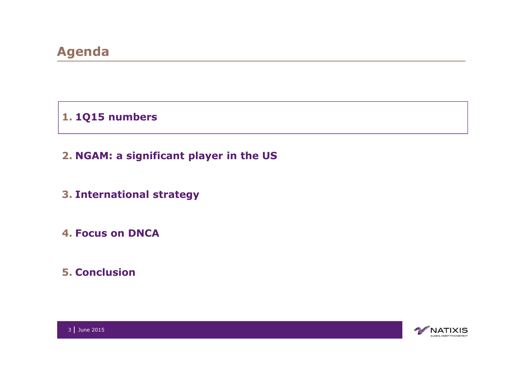**1. 1Q15 numbers**

# **2. NGAM: a significant player in the US**

**3. International strategy**

**4. Focus on DNCA**

**5. Conclusion**

NATIXIS **ALL ASSET MANAGEMEN** 

3 I June 2015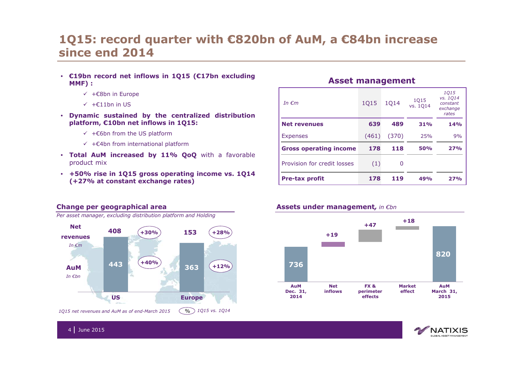#### **1Q15: record quarter with €820bn of AuM, a €84bn increase since end 2014**

- **€19bn record net inflows in 1Q15 (€17bn excluding MMF) :**
	- +€8bn in Europe
	- +€11bn in US
- **Dynamic sustained by the centralized distribution platform, €10bn net inflows in 1Q15:**
	- +€6bn from the US platform
	- +€4bn from international platform
- **Total AuM increased by 11% QoQ** with <sup>a</sup> favorable product mix
- **+50% rise in 1Q15 gross operating income vs. 1Q14 (+27% at constant exchange rates)**

#### **Asset management**

| In $\epsilon$ m               | 1Q15  | 1Q14  | 1015<br>vs. 1014 | 1015<br>vs. 1014<br>constant<br>exchange<br>rates |
|-------------------------------|-------|-------|------------------|---------------------------------------------------|
| <b>Net revenues</b>           | 639   | 489   | 31%              | 14%                                               |
| Expenses                      | (461) | (370) | 25%              | 9%                                                |
| <b>Gross operating income</b> | 178   | 118   | 50%              | 27%                                               |
| Provision for credit losses   | (1)   | 0     |                  |                                                   |
| <b>Pre-tax profit</b>         | 178   | 119   | 49%              | 27%                                               |



#### **Assets under management***, in €bn*



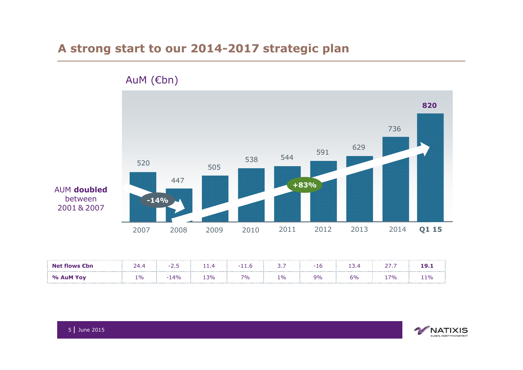#### **A strong start to our 2014-2017 strategic plan**



| Net flows $\bm{\mathsf{C}}$ bn<br>----------------------------- |       | - 1                 |                 |    |    |    |    |            | .        |
|-----------------------------------------------------------------|-------|---------------------|-----------------|----|----|----|----|------------|----------|
| % AuM Yoy<br>                                                   | $1\%$ | $\Delta 0$ / $\sim$ | 30 <sub>o</sub> | 7% | 1% | 9% | 6% | 70/<br>. . | -------- |

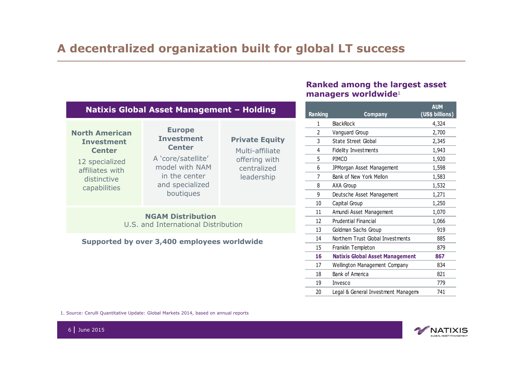# **A decentralized organization built for global LT success**

|                                                | <b>Natixis Global Asset Management - Holding</b> | Ranking               | Company              | <b>AUM</b><br>(US\$ billions)          |       |
|------------------------------------------------|--------------------------------------------------|-----------------------|----------------------|----------------------------------------|-------|
|                                                |                                                  |                       |                      | BlackRock                              | 4,324 |
| <b>North American</b>                          | <b>Europe</b>                                    |                       | 2                    | Vanguard Group                         | 2,700 |
| <b>Investment</b>                              | <b>Investment</b>                                | <b>Private Equity</b> | 3                    | State Street Global                    | 2,345 |
| <b>Center</b><br><b>Center</b>                 | Multi-affiliate                                  | 4                     | Fidelity Investments | 1,943                                  |       |
| 12 specialized                                 | A 'core/satellite'                               | offering with         | 5                    | PIMCO                                  | 1,920 |
| affiliates with<br>distinctive<br>capabilities | model with NAM                                   | centralized           | 6                    | JPMorgan Asset Management              | 1,598 |
|                                                | in the center<br>and specialized<br>boutiques    | leadership            | 7                    | Bank of New York Mellon                | 1,583 |
|                                                |                                                  |                       | 8                    | AXA Group                              | 1,532 |
|                                                |                                                  |                       | 9                    | Deutsche Asset Management              | 1,271 |
|                                                |                                                  |                       | 10                   | Capital Group                          | 1,250 |
| <b>NGAM Distribution</b>                       |                                                  |                       |                      | Amundi Asset Management                | 1,070 |
|                                                | U.S. and International Distribution              |                       | 12                   | <b>Prudential Financial</b>            | 1,066 |
|                                                |                                                  |                       | 13                   | Goldman Sachs Group                    | 919   |
|                                                | Supported by over 3,400 employees worldwide      |                       | 14                   | Northern Trust Global Investments      | 885   |
|                                                |                                                  |                       | 15                   | Franklin Templeton                     | 879   |
|                                                |                                                  |                       | 16                   | <b>Natixis Global Asset Management</b> | 867   |
|                                                |                                                  |                       | 17                   | Wellington Management Company          | 834   |
|                                                |                                                  |                       | 18                   | Bank of America                        | 821   |
|                                                |                                                  |                       | 19                   | Invesco                                | 779   |
|                                                |                                                  |                       | 20                   | Legal & General Investment Managem     | 741   |
|                                                |                                                  |                       |                      |                                        |       |

1. Source: Cerulli Quantitative Update: Global Markets 2014, based on annual reports



**Ranked among the largest asset** 

**managers worldwide**<sup>1</sup>

6June 2015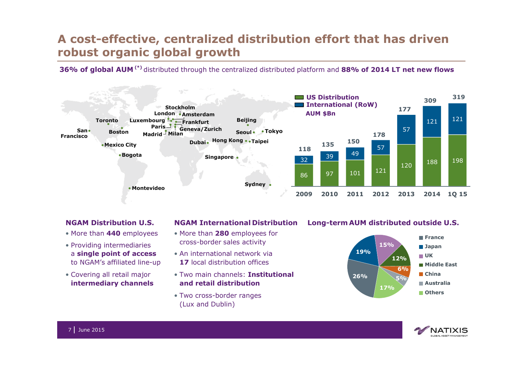# **A cost-effective, centralized distribution effort that has driven robust organic global growth**

**36% of global AUM (\*)** distributed through the centralized distributed platform and **88% of 2014 LT net new flows**



#### **NGAM Distribution U.S.**

- More than **<sup>440</sup>** employees
- Providing intermediaries a **single point of access** to NGAM's affiliated line-up
- Covering all retail major **intermediary channels**

#### **NGAM International Distribution**

- More than **280** employees for cross-border sales activity
- An international network via **17** local distribution offices
- Two main channels: **Institutional and retail distribution**
- Two cross-border ranges (Lux and Dublin)

#### **Long-term AUM distributed outside U.S.**



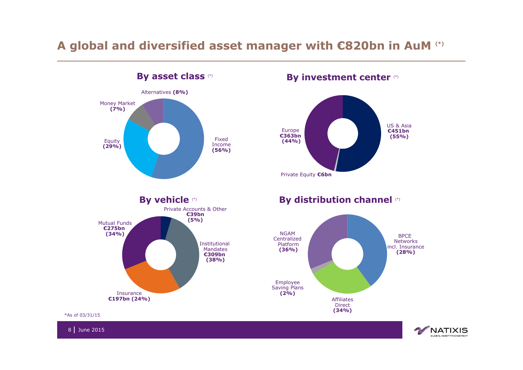# **A global and diversified asset manager with €820bn in AuM (\*)**



#### **By asset class** (\*)

**By investment center** (\*)



**By vehicle (\*) By distribution channel (\*)** 



\*As of 03/31/15

8 I June 2015

**NATIXIS SLOBAL ASSET MANAGEMENT**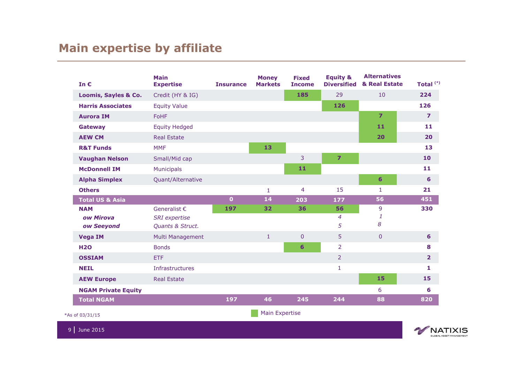# **Main expertise by affiliate**

| In $\epsilon$                   | <b>Main</b><br><b>Expertise</b> | <b>Insurance</b> | <b>Money</b><br><b>Markets</b> | <b>Fixed</b><br><b>Income</b> | <b>Equity &amp;</b><br><b>Diversified</b> | <b>Alternatives</b><br>& Real Estate | Total <sup>(*)</sup>    |
|---------------------------------|---------------------------------|------------------|--------------------------------|-------------------------------|-------------------------------------------|--------------------------------------|-------------------------|
| <b>Loomis, Sayles &amp; Co.</b> | Credit (HY & IG)                |                  |                                | 185                           | 29                                        | 10                                   | 224                     |
| <b>Harris Associates</b>        | <b>Equity Value</b>             |                  |                                |                               | 126                                       |                                      | 126                     |
| <b>Aurora IM</b>                | <b>FoHF</b>                     |                  |                                |                               |                                           | $\overline{z}$                       | $\overline{\mathbf{z}}$ |
| Gateway                         | <b>Equity Hedged</b>            |                  |                                |                               |                                           | 11                                   | 11                      |
| <b>AEW CM</b>                   | <b>Real Estate</b>              |                  |                                |                               |                                           | 20                                   | 20                      |
| <b>R&amp;T Funds</b>            | <b>MMF</b>                      |                  | 13                             |                               |                                           |                                      | 13                      |
| <b>Vaughan Nelson</b>           | Small/Mid cap                   |                  |                                | 3                             | $\overline{z}$                            |                                      | 10                      |
| <b>McDonnell IM</b>             | <b>Municipals</b>               |                  |                                | 11                            |                                           |                                      | 11                      |
| <b>Alpha Simplex</b>            | Quant/Alternative               |                  |                                |                               |                                           | 6                                    | 6                       |
| <b>Others</b>                   |                                 |                  | 1                              | $\overline{4}$                | 15                                        | $\mathbf{1}$                         | 21                      |
| <b>Total US &amp; Asia</b>      |                                 | $\overline{0}$   | 14                             | 203                           | 177                                       | 56                                   | 451                     |
| <b>NAM</b>                      | Generalist $\epsilon$           | 197              | 32                             | 36                            | 56                                        | 9                                    | 330                     |
| ow Mirova                       | <b>SRI</b> expertise            |                  |                                |                               | 4                                         | 1<br>8                               |                         |
| ow Seeyond                      | Quants & Struct.                |                  |                                |                               | 5                                         |                                      |                         |
| <b>Vega IM</b>                  | Multi Management                |                  | $\mathbf{1}$                   | $\overline{0}$                | 5                                         | $\overline{0}$                       | 6                       |
| <b>H2O</b>                      | <b>Bonds</b>                    |                  |                                | $6\phantom{1}$                | $\overline{2}$                            |                                      | 8                       |
| <b>OSSIAM</b>                   | <b>ETF</b>                      |                  |                                |                               | $\overline{2}$                            |                                      | $\overline{2}$          |
| <b>NEIL</b>                     | Infrastructures                 |                  |                                |                               | 1                                         |                                      | 1                       |
| <b>AEW Europe</b>               | <b>Real Estate</b>              |                  |                                |                               |                                           | 15                                   | 15                      |
| <b>NGAM Private Equity</b>      |                                 |                  |                                |                               |                                           | 6                                    | 6                       |
| <b>Total NGAM</b>               |                                 | 197              | 46                             | 245                           | 244                                       | 88                                   | 820                     |
|                                 |                                 |                  |                                |                               |                                           |                                      |                         |

\*As of 03/31/15

**Main Expertise** 

<sup>9</sup> June 2015

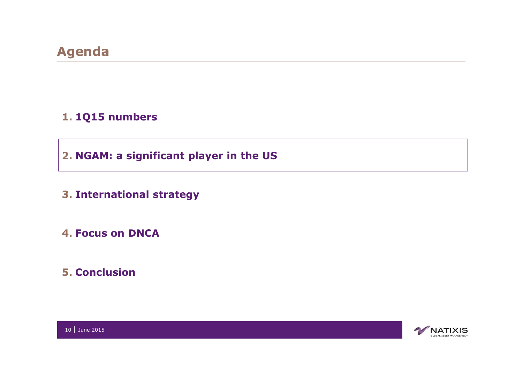#### **1. 1Q15 numbers**

**2. NGAM: a significant player in the US**

#### **3. International strategy**

**4. Focus on DNCA**

**5. Conclusion**

**NATIXIS** BAL ASSET MANAGEMEN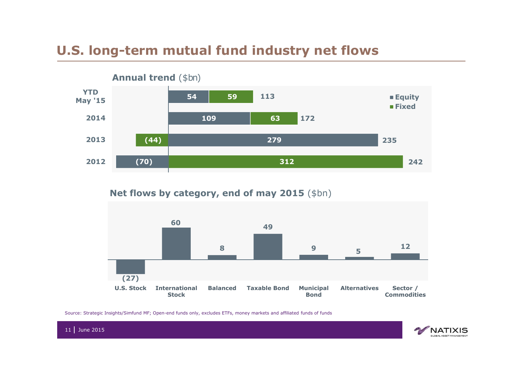# **U.S. long-term mutual fund industry net flows**



#### **Net flows by category, end of may 2015** (\$bn)



Source: Strategic Insights/Simfund MF; Open-end funds only, excludes ETFs, money markets and affiliated funds of funds



11June 2015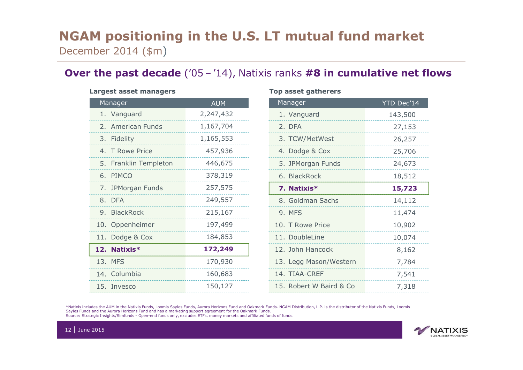# **NGAM positioning in the U.S. LT mutual fund market**December 2014 (\$m)

#### **Over the past decade** ('05 – '14), Natixis ranks **#8 in cumulative net flows**

#### **Largest asset managers Top asset gatherers**

| Manager               | <b>AUM</b> |
|-----------------------|------------|
| 1. Vanguard           | 2,247,432  |
| 2. American Funds     | 1,167,704  |
| 3. Fidelity           | 1,165,553  |
| 4. T Rowe Price       | 457,936    |
| 5. Franklin Templeton | 446,675    |
| 6. PIMCO              | 378,319    |
| 7. JPMorgan Funds     | 257,575    |
| 8. DFA                | 249,557    |
| 9. BlackRock          | 215,167    |
| 10. Oppenheimer       | 197,499    |
| 11. Dodge & Cox       | 184,853    |
| 12. Natixis*          | 172,249    |
| 13. MFS               | 170,930    |
| 14. Columbia          | 160,683    |
| 15. Invesco           | 150,127    |

|                | <b>AUM</b> | Manager                 | YTD Dec'14 |  |  |  |  |
|----------------|------------|-------------------------|------------|--|--|--|--|
| guard          | 2,247,432  | 1. Vanguard             | 143,500    |  |  |  |  |
| rican Funds    | 1,167,704  | 2. DFA                  | 27,153     |  |  |  |  |
| lity           | 1,165,553  | 3. TCW/MetWest          | 26,257     |  |  |  |  |
| we Price       | 457,936    | 4. Dodge & Cox          | 25,706     |  |  |  |  |
| klin Templeton | 446,675    | 5. JPMorgan Funds       | 24,673     |  |  |  |  |
| CO             | 378,319    | 6. BlackRock            | 18,512     |  |  |  |  |
| organ Funds    | 257,575    | 7. Natixis*             | 15,723     |  |  |  |  |
|                | 249,557    | 8. Goldman Sachs        | 14,112     |  |  |  |  |
| kRock          | 215,167    | 9. MFS                  | 11,474     |  |  |  |  |
| enheimer       | 197,499    | 10. T Rowe Price        | 10,902     |  |  |  |  |
| ge & Cox       | 184,853    | 11. DoubleLine          | 10,074     |  |  |  |  |
| xis*           | 172,249    | 12. John Hancock        | 8,162      |  |  |  |  |
|                | 170,930    | 13. Legg Mason/Western  | 7,784      |  |  |  |  |
| mbia           | 160,683    | 14. TIAA-CREF           | 7,541      |  |  |  |  |
| SCO            | 150,127    | 15. Robert W Baird & Co | 7,318      |  |  |  |  |
|                |            |                         |            |  |  |  |  |

\*Natixis includes the AUM in the Natixis Funds, Loomis Sayles Funds, Aurora Horizons Fund and Oakmark Funds. NGAM Distribution, L.P. is the distributor of the Natixis Funds, Loomis Sayles Funds and the Aurora Horizons Fund and has a marketing support agreement for the Oakmark Funds.Source: Strategic Insights/Simfunds - Open-end funds only, excludes ETFs, money markets and affiliated funds of funds.



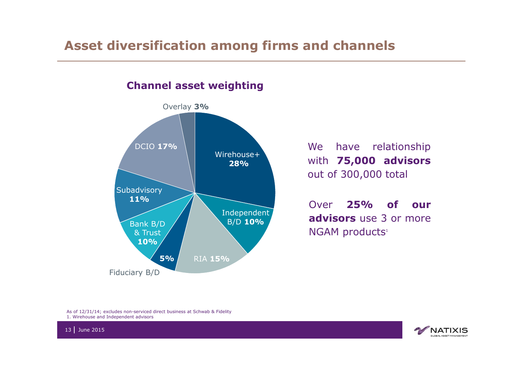# **Asset diversification among firms and channels**



We have relationship with **75,000 advisors** out of 300,000 total

Over **25% of our advisors** use <sup>3</sup> or more NGAM products 1

As of 12/31/14; excludes non-serviced direct business at Schwab & Fidelity1. Wirehouse and Independent advisors

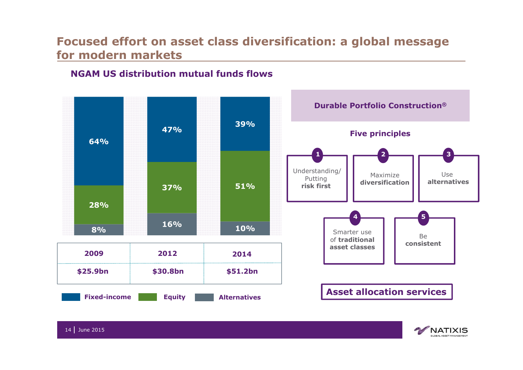## **Focused effort on asset class diversification: a global message for modern markets**

#### **NGAM US distribution mutual funds flows**



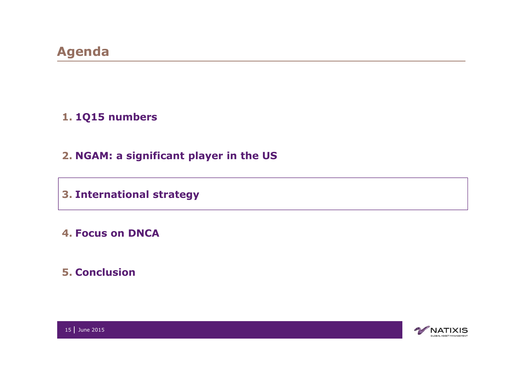#### **1. 1Q15 numbers**

# **2. NGAM: a significant player in the US**

#### **3. International strategy**

#### **4. Focus on DNCA**

#### **5. Conclusion**

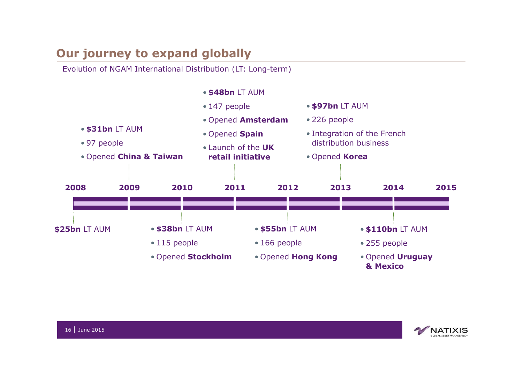# **Our journey to expand globally**

Evolution of NGAM International Distribution (LT: Long-term)



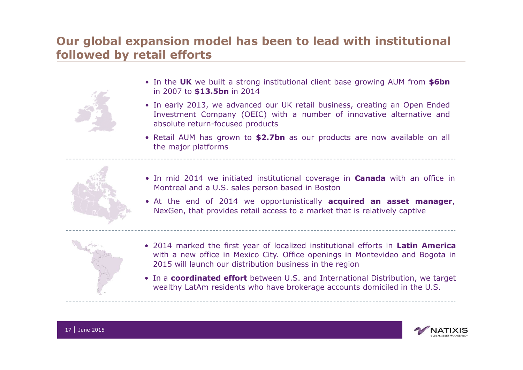# **Our global expansion model has been to lead with institutional followed by retail efforts**



- In the **UK** we built <sup>a</sup> strong institutional client base growing AUM from **\$6bn** in <sup>2007</sup> to **\$13.5bn** in <sup>2014</sup>
- In early 2013, we advanced our UK retail business, creating an Open Ended Investment Company (OEIC) with <sup>a</sup> number of innovative alternative and absolute return-focused products
- Retail AUM has grown to **\$2.7bn** as our products are now available on all the major platforms



- In mid <sup>2014</sup> we initiated institutional coverage in **Canada** with an office in Montreal and <sup>a</sup> U.S. sales person based in Boston
- At the end of <sup>2014</sup> we opportunistically **acquired an asset manager**, NexGen, that provides retail access to <sup>a</sup> market that is relatively captive



- <sup>2014</sup> marked the first year of localized institutional efforts in **Latin America** with <sup>a</sup> new office in Mexico City. Office openings in Montevideo and Bogota in <sup>2015</sup> will launch our distribution business in the region
- In <sup>a</sup> **coordinated effort** between U.S. and International Distribution, we target wealthy LatAm residents who have brokerage accounts domiciled in the U.S.



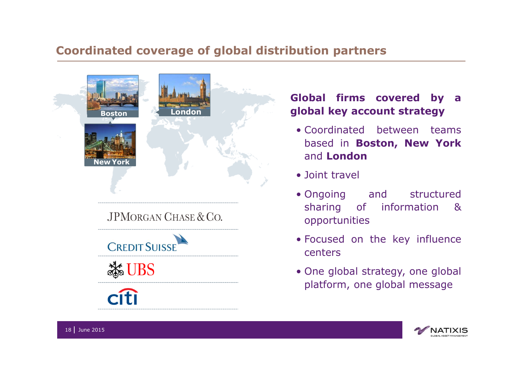# **Coordinated coverage of global distribution partners**



#### **Global firms covered by <sup>a</sup> global key account strategy**

- Coordinated between teams<br>hasod in Boston New York based in **Boston, New York** and **London**
- Joint travel
- Ongoing and structured<br>sharing of information 8 sharing of information & opportunities
- Focused on the key influence centers
- One global strategy, one global platform, one global message

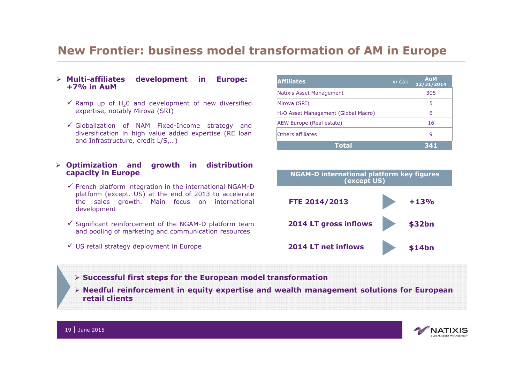## **New Frontier: business model transformation of AM in Europe**

#### - **Multi-affiliates development in Europe: +7% in AuM**

- $\checkmark$  Ramp up of H<sub>2</sub>0 and development of new diversified<br>expertise potably Mirova (SRT) expertise, notably Mirova (SRI)
- $\checkmark$  Globalization of NAM Fixed-Income strategy and<br>diversification in bigh value added expertise (RF loan diversification in high value added expertise (RE loan and Infrastructure, credit L/S,…)

#### - **Optimization and growth in distribution capacity in Europe**

- $\checkmark$  French platform integration in the international NGAM-D platform (except. US) at the end of 2013 to accelerate platform (except. US) at the end of 2013 to accelerate<br>the sales growth... Main, focus, on international the sales growth. Main focus on international<br>develonment development
- $\checkmark$  Significant reinforcement of the NGAM-D platform team<br>and pooling of marketing and communication resources and pooling of marketing and communication resources
- $\checkmark$  US retail strategy deployment in Europe

| <b>Affiliates</b><br>in $Ebn$                    | <b>AuM</b><br>12/31/2014 |
|--------------------------------------------------|--------------------------|
| Natixis Asset Management                         | 305                      |
| Mirova (SRI)                                     | 5                        |
| H <sub>2</sub> O Asset Management (Global Macro) | 6                        |
| AEW Europe (Real estate)                         | 16                       |
| <b>lOthers affiliates</b>                        | q                        |
| Total                                            | 341                      |



- **Successful first steps for the European model transformation**

 $\triangleright$  Needful reinforcement in equity expertise and wealth management solutions for European<br>retail clients **retail clients**

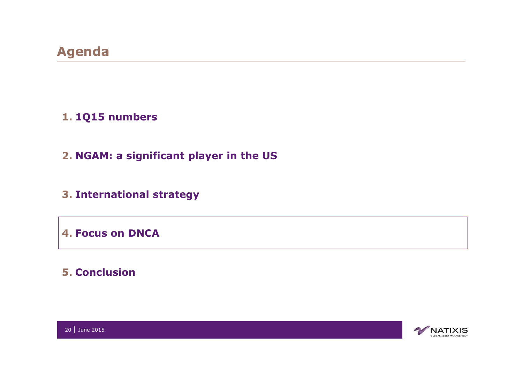#### **1. 1Q15 numbers**

# **2. NGAM: a significant player in the US**

### **3. International strategy**

**4. Focus on DNCA**

# **5. Conclusion**

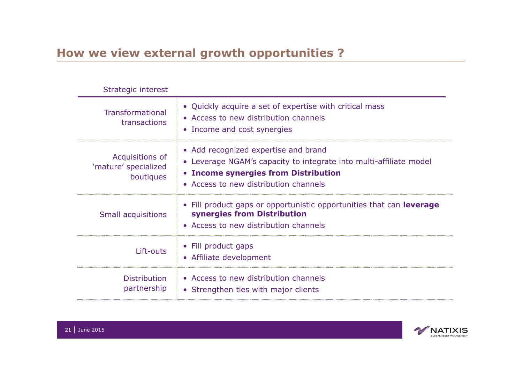| Strategic interest                                   |                                                                                                                                                                                             |
|------------------------------------------------------|---------------------------------------------------------------------------------------------------------------------------------------------------------------------------------------------|
| <b>Transformational</b><br>transactions              | • Quickly acquire a set of expertise with critical mass<br>• Access to new distribution channels<br>• Income and cost synergies                                                             |
| Acquisitions of<br>'mature' specialized<br>boutiques | • Add recognized expertise and brand<br>• Leverage NGAM's capacity to integrate into multi-affiliate model<br>• Income synergies from Distribution<br>• Access to new distribution channels |
| Small acquisitions                                   | • Fill product gaps or opportunistic opportunities that can leverage<br>synergies from Distribution<br>• Access to new distribution channels                                                |
| Lift-outs                                            | • Fill product gaps<br>• Affiliate development                                                                                                                                              |
| <b>Distribution</b><br>partnership                   | • Access to new distribution channels<br>• Strengthen ties with major clients                                                                                                               |

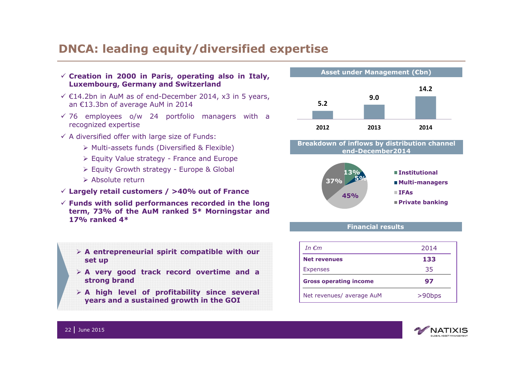#### **DNCA: leading equity/diversified expertise**

#### **Creation in <sup>2000</sup> in Paris, operating also in Italy, Luxembourg, Germany and Switzerland**

- $\checkmark$  €14.2bn in AuM as of end-December 2014, x3 in 5 years,<br>an €13.3bn of average AuM in 2014 an €13.3bn of average AuM in <sup>2014</sup>
- $\checkmark$  76 employees o/w 24 portfolio managers with a recognized expertise recognized expertise
- <sup>A</sup> diversified offer with large size of Funds:
	- Multi-assets funds (Diversified & Flexible)
	- Equity Value strategy France and Europe
	- Equity Growth strategy Europe & Global
	- Absolute return
- **Largely retail customers / >40% out of France**
- $\checkmark$  Funds with solid performances recorded in the long **Funds with solid performances recorded in the long term, 73% of the AuM ranked 5\* Morningstar and 17% ranked 4\***
	- **<sup>A</sup> entrepreneurial spirit compatible with our set up**
	- **<sup>A</sup> very good track record overtime and <sup>a</sup> strong brand**
	- **<sup>A</sup> high level of profitability since several years and <sup>a</sup> sustained growth in the GOI**



#### **Breakdown of inflows by distribution channel end-December2014**



#### **Financial results**

| In $\epsilon$ m               | 2014      |
|-------------------------------|-----------|
| <b>Net revenues</b>           | 133       |
| <b>Expenses</b>               | 35        |
| <b>Gross operating income</b> | 97        |
| Net revenues/ average AuM     | $>90$ bps |

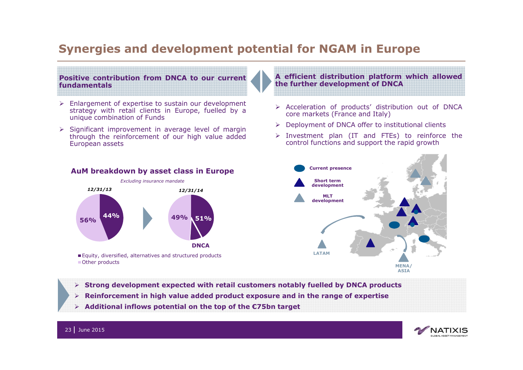# **Synergies and development potential for NGAM in Europe**

**Positive contribution from DNCA to our current fundamentals**

- Enlargement of expertise to sustain our development strategy with retail clients in Europe, fuelled by <sup>a</sup> unique combination of Funds
- $\triangleright$  Significant improvement in average level of margin  $\triangleright$  Significant improvement in average level of margin through the reinforcement of our high value added through the reinforcement of our high value added<br>European\_assets European assets

**<sup>A</sup> efficient distribution platform which allowed the further development of DNCA**

- $\triangleright$  Acceleration of products' distribution out of DNCA<br>
core markets (France and Italy) core markets (France and Italy)
- > Deployment of DNCA offer to institutional clients
- Investment plan (IT and FTEs) to reinforce the control functions and support the rapid growth control functions and support the rapid growth



#### **AuM breakdown by asset class in Europe**



Equity, diversified, alternatives and structured products ■ Other products

 $\triangleright$  Strong development expected with retail customers notably fuelled by DNCA products<br>And the contract of the contract of the contract of the contract of the contract of the contract of the contra

- **Reinforcement in high value added product exposure and in the range of expertise**
- **Additional inflows potential on the top of the €75bn target**

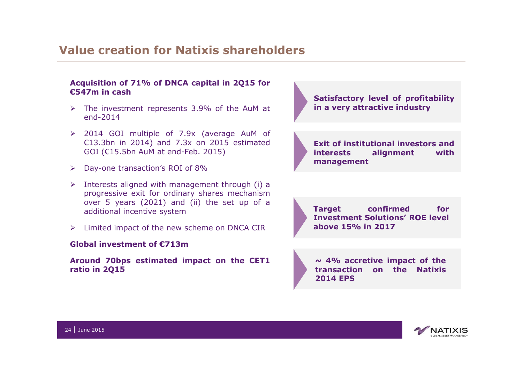#### **Value creation for Natixis shareholders**

#### **Acquisition of 71% of DNCA capital in 2Q15 for €547m in cash**

- > The investment represents 3.9% of the AuM at<br>end-2014 end-2014
- $\geq$  2014 GOI multiple of 7.9x (average AuM of<br> $\epsilon$ 13.3hn in 2014) and 7.3x on 2015 estimated €13.3bn in 2014) and 7.3x on <sup>2015</sup> estimated GOI (€15.5bn AuM at end-Feb. 2015)
- Day-one transaction's ROI of 8%
- Interests aligned with management through (i) <sup>a</sup> progressive exit for ordinary shares mechanism over <sup>5</sup> years (2021) and (ii) the set up of <sup>a</sup> additional incentive system
- Limited impact of the new scheme on DNCA CIR

#### **Global investment of €713m**

**Around 70bps estimated impact on the CET1 ratio in 2Q15**

#### **Satisfactory level of profitability in <sup>a</sup> very attractive industry**

**Exit of institutional investors and<br>
<b>interests alignment** with **interests alignment with management**

**Target confirmed for Investment Solutions' ROE level above 15% in <sup>2017</sup>**

**~ 4% accretive impact of the transaction on the Natixis <sup>2014</sup> EPS**

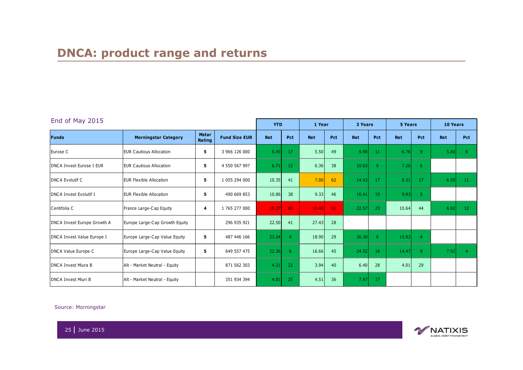| End of May 2015               |                                |                        | <b>YTD</b>           |       | 1 Year          |       | 3 Years    |       | 5 Years    |       | 10 Years       |      |                 |
|-------------------------------|--------------------------------|------------------------|----------------------|-------|-----------------|-------|------------|-------|------------|-------|----------------|------|-----------------|
| Funds                         | <b>Morningstar Category</b>    | <b>Mstar</b><br>Rating | <b>Fund Size EUR</b> | Ret   | Pct             | Ret   | <b>Pct</b> | Ret   | <b>Pct</b> | Ret   | <b>Pct</b>     | Ret  | <b>Pct</b>      |
| Eurose C                      | <b>EUR Cautious Allocation</b> | 5                      | 3 966 126 000        | 6.45  | -17             | 5.50  | 49         | 9.99  | 11         | 6.76  | 9              | 5.40 | -6              |
| DNCA Invest Eurose I EUR      | <b>EUR Cautious Allocation</b> | 5                      | 4 550 567 997        | 6.71  | 12 <sub>1</sub> | 6.36  | 38         | 10.63 | 9          | 7.26  | 6              |      |                 |
| <b>DNCA Evolutif C</b>        | <b>EUR Flexible Allocation</b> | 5                      | 1 055 294 000        | 10.35 | 41              | 7.00  | 62         | 14.43 | -17        | 8.31  | 17             | 6.58 | $\overline{11}$ |
| <b>DNCA Invest Evolutif I</b> | <b>EUR Flexible Allocation</b> | 5                      | 490 669 853          | 10.86 | 38              | 9.33  | 46         | 16.41 | 10         | 9.93  | 5              |      |                 |
| Centifolia C                  | France Large-Cap Equity        | 4                      | 1 765 277 000        | 18.37 | 85              | 10.40 | 91         | 22.57 | -23        | 10.64 | 44             | 6.92 | 12              |
| DNCA Invest Europe Growth A   | Europe Large-Cap Growth Equity |                        | 296 935 921          | 22.50 | 41              | 27.43 | 28         |       |            |       |                |      |                 |
| DNCA Invest Value Europe I    | Europe Large-Cap Value Equity  | 5                      | 487 446 166          | 23.24 | $\overline{4}$  | 18.90 | 29         | 26.30 | 8          | 15.93 | $\overline{4}$ |      |                 |
| DNCA Value Europe C           | Europe Large-Cap Value Equity  | 5                      | 649 557 475          | 22.36 | $6^{\circ}$     | 16.66 | 45         | 24.52 | 16         | 14.47 | 9              | 7.92 | $\overline{4}$  |
| <b>DNCA Invest Miura B</b>    | Alt - Market Neutral - Equity  |                        | 871 562 303          | 4.31  | 22              | 3.94  | 40         | 6.40  | 28         | 4.01  | 29             |      |                 |
| <b>DNCA Invest Miuri B</b>    | Alt - Market Neutral - Equity  |                        | 351 934 394          | 4.01  | 25              | 4.51  | 36         | 7.47  | 17         |       |                |      |                 |

#### Source: Morningstar



<sup>25</sup> June 2015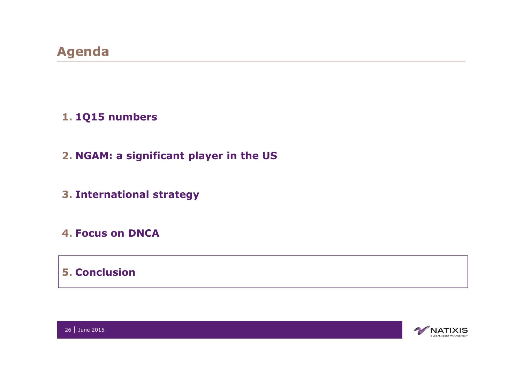#### **1. 1Q15 numbers**

# **2. NGAM: a significant player in the US**

# **3. International strategy**

#### **4. Focus on DNCA**

**5. Conclusion**

**NATIXIS ALL ASSET MANAGEMEN**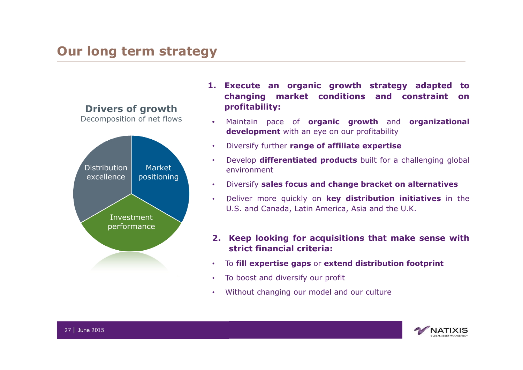# **Our long term strategy**



- **1. Execute an organic growth strategy adapted to changing market conditions and constraint on profitability:**
- • Maintain pace of **organic growth** and **organizational development** with an eye on our profitability
- •Diversify further **range of affiliate expertise**
- • Develop **differentiated products** built for <sup>a</sup> challenging global environment
- •Diversify **sales focus and change bracket on alternatives**
- • Deliver more quickly on **key distribution initiatives** in the U.S. and Canada, Latin America, Asia and the U.K.
- **2. Keep looking for acquisitions that make sense with strict financial criteria:**
- •To **fill expertise gaps** or **extend distribution footprint**
- •To boost and diversify our profit
- •Without changing our model and our culture